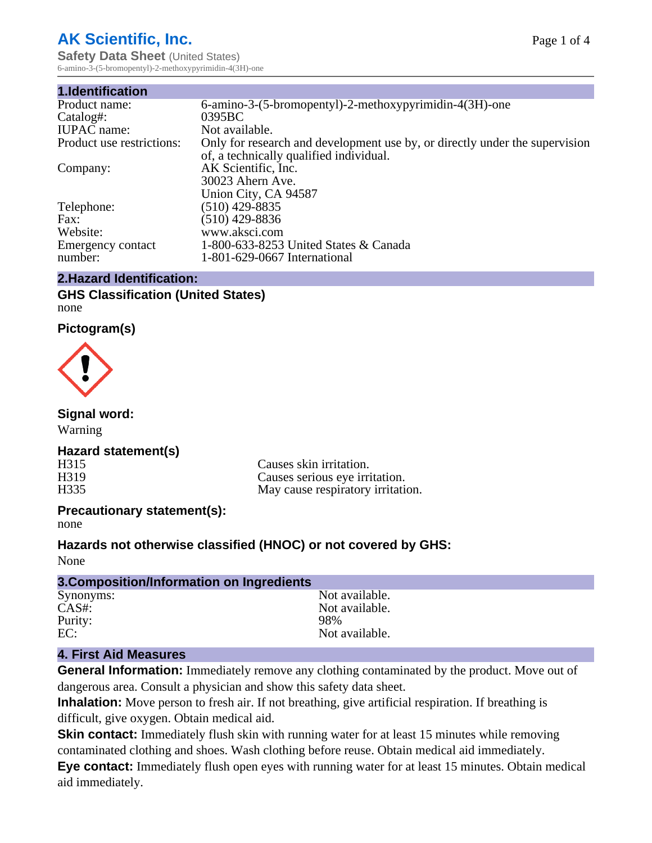# **AK Scientific, Inc.**

**Safety Data Sheet** (United States) 6-amino-3-(5-bromopentyl)-2-methoxypyrimidin-4(3H)-one

| 6-amino-3-(5-bromopentyl)-2-methoxypyrimidin-4(3H)-one                      |  |  |  |
|-----------------------------------------------------------------------------|--|--|--|
| 0395BC                                                                      |  |  |  |
| Not available.                                                              |  |  |  |
| Only for research and development use by, or directly under the supervision |  |  |  |
| of, a technically qualified individual.                                     |  |  |  |
| AK Scientific, Inc.                                                         |  |  |  |
| 30023 Ahern Ave.                                                            |  |  |  |
| Union City, CA 94587                                                        |  |  |  |
| $(510)$ 429-8835                                                            |  |  |  |
| (510) 429-8836                                                              |  |  |  |
| www.aksci.com                                                               |  |  |  |
| 1-800-633-8253 United States & Canada                                       |  |  |  |
| 1-801-629-0667 International                                                |  |  |  |
|                                                                             |  |  |  |

#### **2.Hazard Identification:**

#### **GHS Classification (United States)** none

#### **Pictogram(s)**



#### **Signal word:**

Warning

#### **Hazard statement(s)**

H315 Causes skin irritation.<br>
H319 Causes serious eve irri H319 Causes serious eye irritation.<br>H335 May cause respiratory irritation. May cause respiratory irritation.

#### **Precautionary statement(s):**

none

#### **Hazards not otherwise classified (HNOC) or not covered by GHS:**

None

| 3. Composition/Information on Ingredients |                |
|-------------------------------------------|----------------|
| Synonyms:                                 | Not available. |
| $CAS#$ :                                  | Not available. |
| Purity:                                   | 98%            |
| EC:                                       | Not available. |
|                                           |                |

#### **4. First Aid Measures**

**General Information:** Immediately remove any clothing contaminated by the product. Move out of dangerous area. Consult a physician and show this safety data sheet.

**Inhalation:** Move person to fresh air. If not breathing, give artificial respiration. If breathing is difficult, give oxygen. Obtain medical aid.

**Skin contact:** Immediately flush skin with running water for at least 15 minutes while removing contaminated clothing and shoes. Wash clothing before reuse. Obtain medical aid immediately.

**Eye contact:** Immediately flush open eyes with running water for at least 15 minutes. Obtain medical aid immediately.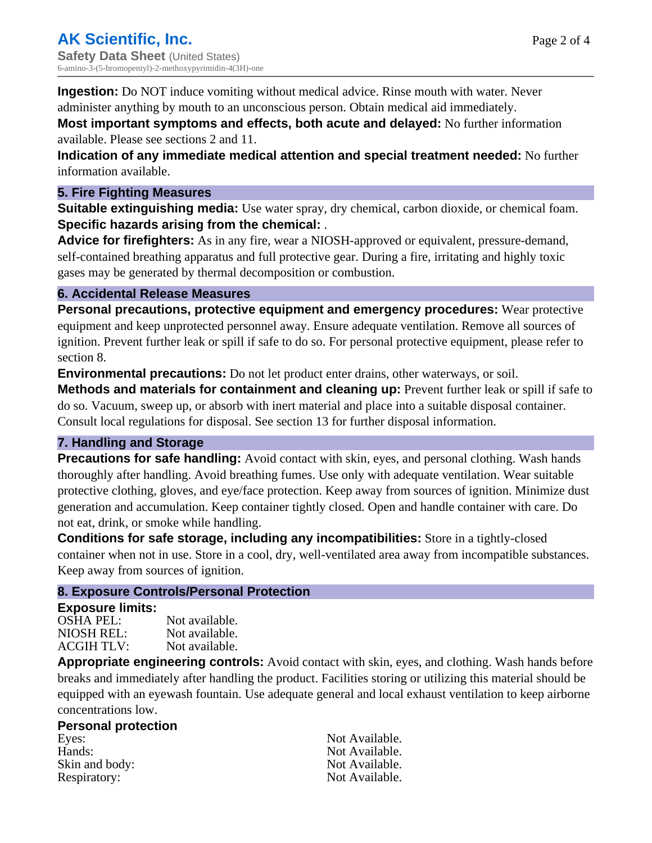**Ingestion:** Do NOT induce vomiting without medical advice. Rinse mouth with water. Never administer anything by mouth to an unconscious person. Obtain medical aid immediately.

**Most important symptoms and effects, both acute and delayed:** No further information available. Please see sections 2 and 11.

**Indication of any immediate medical attention and special treatment needed:** No further information available.

#### **5. Fire Fighting Measures**

**Suitable extinguishing media:** Use water spray, dry chemical, carbon dioxide, or chemical foam. **Specific hazards arising from the chemical:** .

**Advice for firefighters:** As in any fire, wear a NIOSH-approved or equivalent, pressure-demand, self-contained breathing apparatus and full protective gear. During a fire, irritating and highly toxic gases may be generated by thermal decomposition or combustion.

#### **6. Accidental Release Measures**

**Personal precautions, protective equipment and emergency procedures:** Wear protective equipment and keep unprotected personnel away. Ensure adequate ventilation. Remove all sources of ignition. Prevent further leak or spill if safe to do so. For personal protective equipment, please refer to section 8.

**Environmental precautions:** Do not let product enter drains, other waterways, or soil.

**Methods and materials for containment and cleaning up:** Prevent further leak or spill if safe to do so. Vacuum, sweep up, or absorb with inert material and place into a suitable disposal container. Consult local regulations for disposal. See section 13 for further disposal information.

#### **7. Handling and Storage**

**Precautions for safe handling:** Avoid contact with skin, eyes, and personal clothing. Wash hands thoroughly after handling. Avoid breathing fumes. Use only with adequate ventilation. Wear suitable protective clothing, gloves, and eye/face protection. Keep away from sources of ignition. Minimize dust generation and accumulation. Keep container tightly closed. Open and handle container with care. Do not eat, drink, or smoke while handling.

**Conditions for safe storage, including any incompatibilities:** Store in a tightly-closed container when not in use. Store in a cool, dry, well-ventilated area away from incompatible substances. Keep away from sources of ignition.

#### **8. Exposure Controls/Personal Protection**

#### **Exposure limits:**

| OSHA PEL:  | Not available. |
|------------|----------------|
| NIOSH REL: | Not available. |
| ACGIH TLV: | Not available. |

**Appropriate engineering controls:** Avoid contact with skin, eyes, and clothing. Wash hands before breaks and immediately after handling the product. Facilities storing or utilizing this material should be equipped with an eyewash fountain. Use adequate general and local exhaust ventilation to keep airborne concentrations low.

#### **Personal protection**

Eyes: Not Available. Hands: Not Available. Skin and body: Not Available. Respiratory: Not Available.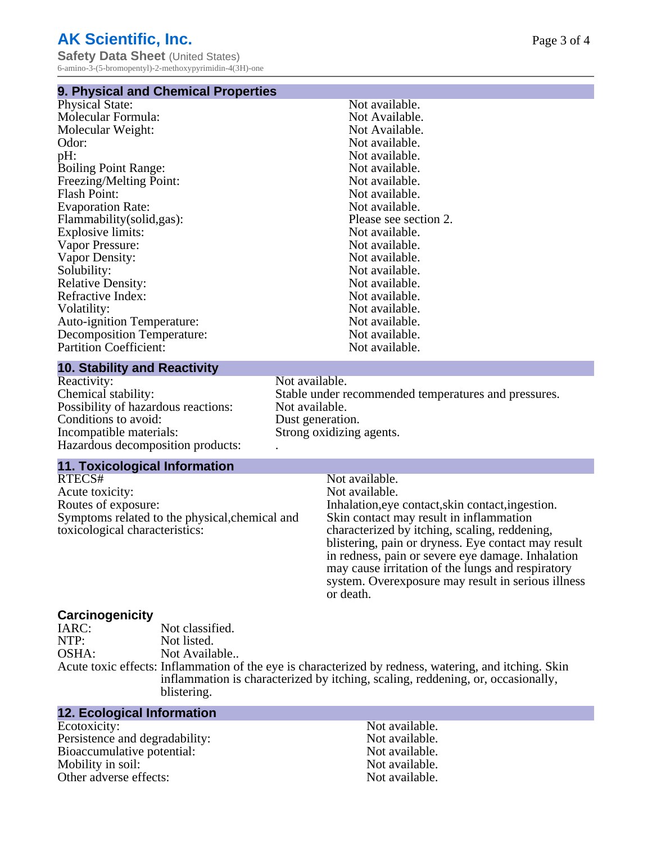# **AK Scientific, Inc.**

**Safety Data Sheet** (United States) 6-amino-3-(5-bromopentyl)-2-methoxypyrimidin-4(3H)-one

#### **9. Physical and Chemical Properties**

| Not available.        |
|-----------------------|
| Not Available.        |
| Not Available.        |
| Not available.        |
| Not available.        |
| Not available.        |
| Not available.        |
| Not available.        |
| Not available.        |
| Please see section 2. |
| Not available.        |
| Not available.        |
| Not available.        |
| Not available.        |
| Not available.        |
| Not available.        |
| Not available.        |
| Not available.        |
| Not available.        |
| Not available.        |
|                       |

#### **10. Stability and Reactivity**

Reactivity: Not available.<br>Chemical stability: Stable under re Possibility of hazardous reactions: Not available. Conditions to avoid: Dust generation.<br>
Incompatible materials: Strong oxidizing Hazardous decomposition products: .

#### **11. Toxicological Information**

RTECS# Not available.<br>Acute toxicity: Not available.<br>Not available. Acute toxicity:<br>Routes of exposure: Symptoms related to the physical,chemical and toxicological characteristics:

Stable under recommended temperatures and pressures. Strong oxidizing agents.

Inhalation, eye contact, skin contact, ingestion. Skin contact may result in inflammation characterized by itching, scaling, reddening, blistering, pain or dryness. Eye contact may result in redness, pain or severe eye damage. Inhalation may cause irritation of the lungs and respiratory system. Overexposure may result in serious illness or death.

# **Carcinogenicity**

Not classified. NTP: Not listed. OSHA: Not Available.. Acute toxic effects: Inflammation of the eye is characterized by redness, watering, and itching. Skin inflammation is characterized by itching, scaling, reddening, or, occasionally, blistering.

### **12. Ecological Information**

Ecotoxicity: Not available. Persistence and degradability:<br>
Bioaccumulative potential:<br>
Not available.<br>
Not available. Bioaccumulative potential: Mobility in soil: Not available. Other adverse effects: Not available.